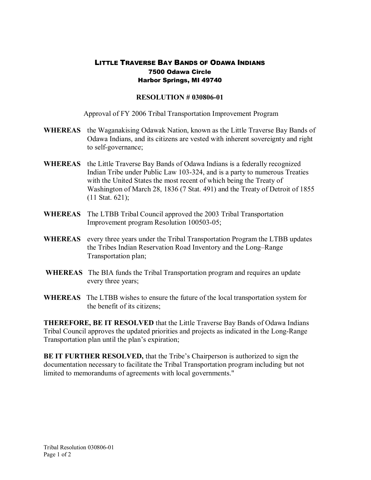## LITTLE TRAVERSE BAY BANDS OF ODAWA INDIANS 7500 Odawa Circle Harbor Springs, MI 49740

## **RESOLUTION # 030806-01**

Approval of FY 2006 Tribal Transportation Improvement Program

- **WHEREAS** the Waganakising Odawak Nation, known as the Little Traverse Bay Bands of Odawa Indians, and its citizens are vested with inherent sovereignty and right to self-governance;
- **WHEREAS** the Little Traverse Bay Bands of Odawa Indians is a federally recognized Indian Tribe under Public Law 103-324, and is a party to numerous Treaties with the United States the most recent of which being the Treaty of Washington of March 28, 1836 (7 Stat. 491) and the Treaty of Detroit of 1855 (11 Stat. 621);
- **WHEREAS** The LTBB Tribal Council approved the 2003 Tribal Transportation Improvement program Resolution 100503-05;
- **WHEREAS** every three years under the Tribal Transportation Program the LTBB updates the Tribes Indian Reservation Road Inventory and the Long–Range Transportation plan;
- **WHEREAS** The BIA funds the Tribal Transportation program and requires an update every three years;
- **WHEREAS** The LTBB wishes to ensure the future of the local transportation system for the benefit of its citizens;

**THEREFORE, BE IT RESOLVED** that the Little Traverse Bay Bands of Odawa Indians Tribal Council approves the updated priorities and projects as indicated in the Long-Range Transportation plan until the plan's expiration;

**BE IT FURTHER RESOLVED,** that the Tribe's Chairperson is authorized to sign the documentation necessary to facilitate the Tribal Transportation program including but not limited to memorandums of agreements with local governments."